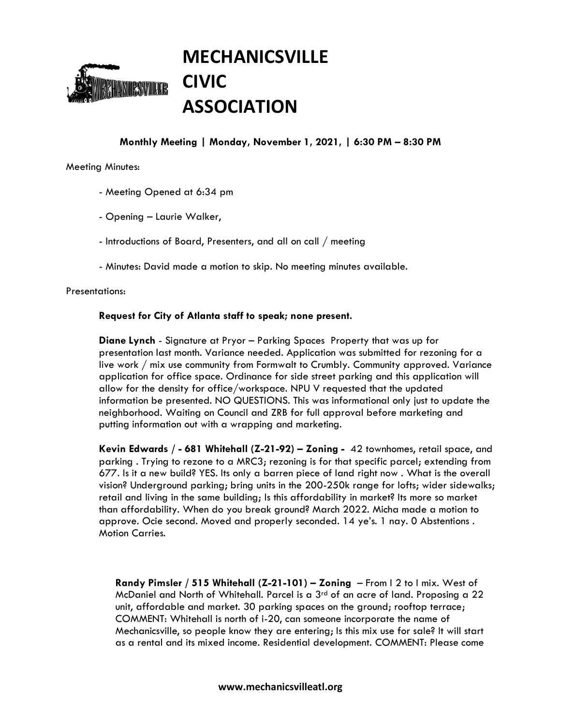

# **Monthly Meeting | Monday, November 1, 2021, | 6:30 PM – 8:30 PM**

### Meeting Minutes:

- Meeting Opened at 6:34 pm
- Opening Laurie Walker,
- Introductions of Board, Presenters, and all on call / meeting
- Minutes: David made a motion to skip. No meeting minutes available.

### Presentations:

## **Request for City of Atlanta staff to speak; none present.**

**Diane Lynch** - Signature at Pryor – Parking Spaces Property that was up for presentation last month. Variance needed. Application was submitted for rezoning for a live work / mix use community from Formwalt to Crumbly. Community approved. Variance application for office space. Ordinance for side street parking and this application will allow for the density for office/workspace. NPU V requested that the updated information be presented. NO QUESTIONS. This was informational only just to update the neighborhood. Waiting on Council and ZRB for full approval before marketing and putting information out with a wrapping and marketing.

**Kevin Edwards / - 681 Whitehall (Z-21-92) – Zoning -** 42 townhomes, retail space, and parking . Trying to rezone to a MRC3; rezoning is for that specific parcel; extending from 677. Is it a new build? YES. Its only a barren piece of land right now . What is the overall vision? Underground parking; bring units in the 200-250k range for lofts; wider sidewalks; retail and living in the same building; Is this affordability in market? Its more so market than affordability. When do you break ground? March 2022. Micha made a motion to approve. Ocie second. Moved and properly seconded. 14 ye's. 1 nay. 0 Abstentions . Motion Carries.

**Randy Pimsler / 515 Whitehall (Z-21-101) – Zoning** – From I 2 to I mix. West of McDaniel and North of Whitehall. Parcel is a 3rd of an acre of land. Proposing a 22 unit, affordable and market. 30 parking spaces on the ground; rooftop terrace; COMMENT: Whitehall is north of i-20, can someone incorporate the name of Mechanicsville, so people know they are entering; Is this mix use for sale? It will start as a rental and its mixed income. Residential development. COMMENT: Please come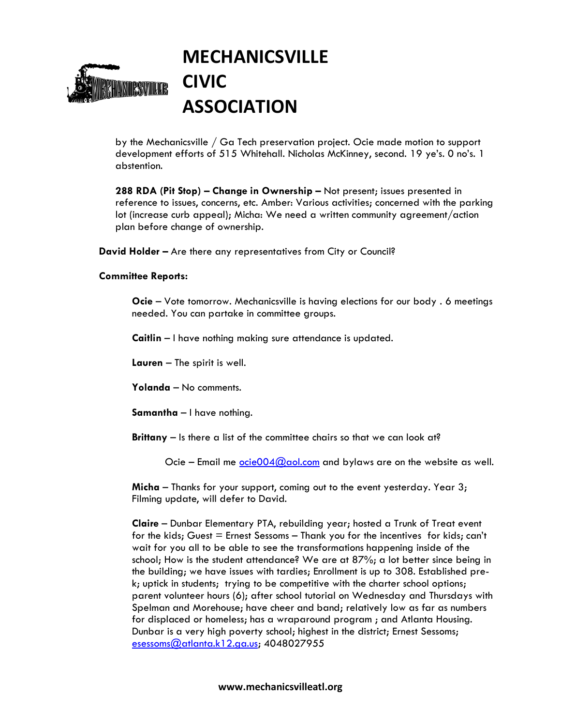

by the Mechanicsville / Ga Tech preservation project. Ocie made motion to support development efforts of 515 Whitehall. Nicholas McKinney, second. 19 ye's. 0 no's. 1 abstention.

**288 RDA (Pit Stop) – Change in Ownership –** Not present; issues presented in reference to issues, concerns, etc. Amber: Various activities; concerned with the parking lot (increase curb appeal); Micha: We need a written community agreement/action plan before change of ownership.

**David Holder –** Are there any representatives from City or Council?

### **Committee Reports:**

**Ocie** – Vote tomorrow. Mechanicsville is having elections for our body . 6 meetings needed. You can partake in committee groups.

**Caitlin** – I have nothing making sure attendance is updated.

**Lauren** – The spirit is well.

**Yolanda** – No comments.

**Samantha** – I have nothing.

**Brittany** – Is there a list of the committee chairs so that we can look at?

Ocie – Email me  $\frac{\text{ocie004@aol.com}}{\text{0}}$  and bylaws are on the website as well.

**Micha** – Thanks for your support, coming out to the event yesterday. Year 3; Filming update, will defer to David.

**Claire** – Dunbar Elementary PTA, rebuilding year; hosted a Trunk of Treat event for the kids; Guest = Ernest Sessoms – Thank you for the incentives for kids; can't wait for you all to be able to see the transformations happening inside of the school; How is the student attendance? We are at 87%; a lot better since being in the building; we have issues with tardies; Enrollment is up to 308. Established prek; uptick in students; trying to be competitive with the charter school options; parent volunteer hours (6); after school tutorial on Wednesday and Thursdays with Spelman and Morehouse; have cheer and band; relatively low as far as numbers for displaced or homeless; has a wraparound program ; and Atlanta Housing. Dunbar is a very high poverty school; highest in the district; Ernest Sessoms; [esessoms@atlanta.k12.ga.us;](mailto:esessoms@atlanta.k12.ga.us) 4048027955

#### **www.mechanicsvilleatl.org**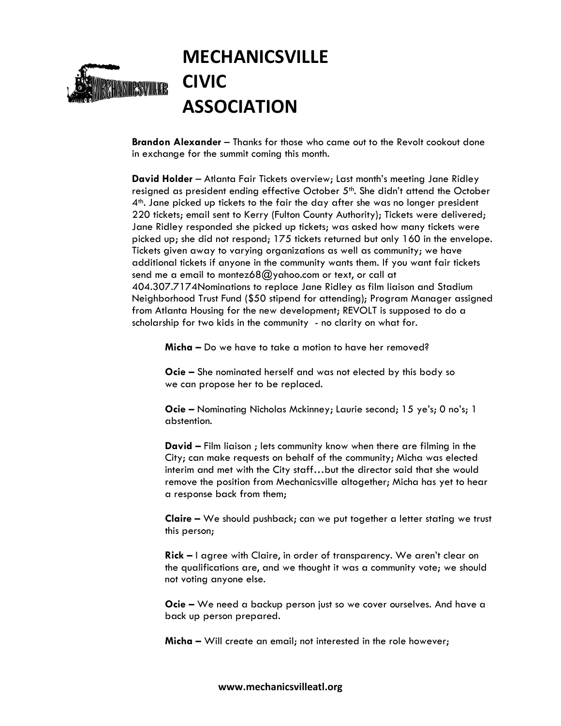

**Brandon Alexander** – Thanks for those who came out to the Revolt cookout done in exchange for the summit coming this month.

**David Holder** – Atlanta Fair Tickets overview; Last month's meeting Jane Ridley resigned as president ending effective October 5<sup>th</sup>. She didn't attend the October 4th. Jane picked up tickets to the fair the day after she was no longer president 220 tickets; email sent to Kerry (Fulton County Authority); Tickets were delivered; Jane Ridley responded she picked up tickets; was asked how many tickets were picked up; she did not respond; 175 tickets returned but only 160 in the envelope. Tickets given away to varying organizations as well as community; we have additional tickets if anyone in the community wants them. If you want fair tickets send me a email to montez68@yahoo.com or text, or call at 404.307.7174Nominations to replace Jane Ridley as film liaison and Stadium Neighborhood Trust Fund (\$50 stipend for attending); Program Manager assigned from Atlanta Housing for the new development; REVOLT is supposed to do a scholarship for two kids in the community - no clarity on what for.

**Micha –** Do we have to take a motion to have her removed?

**Ocie –** She nominated herself and was not elected by this body so we can propose her to be replaced.

**Ocie –** Nominating Nicholas Mckinney; Laurie second; 15 ye's; 0 no's; 1 abstention.

**David –** Film liaison ; lets community know when there are filming in the City; can make requests on behalf of the community; Micha was elected interim and met with the City staff…but the director said that she would remove the position from Mechanicsville altogether; Micha has yet to hear a response back from them;

**Claire –** We should pushback; can we put together a letter stating we trust this person;

**Rick –** I agree with Claire, in order of transparency. We aren't clear on the qualifications are, and we thought it was a community vote; we should not voting anyone else.

**Ocie –** We need a backup person just so we cover ourselves. And have a back up person prepared.

**Micha –** Will create an email; not interested in the role however;